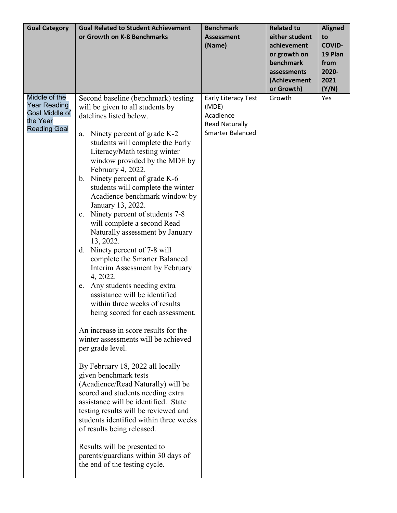| <b>Goal Category</b> | <b>Goal Related to Student Achievement</b>                     | <b>Benchmark</b>             | <b>Related to</b> | <b>Aligned</b> |
|----------------------|----------------------------------------------------------------|------------------------------|-------------------|----------------|
|                      | or Growth on K-8 Benchmarks                                    | <b>Assessment</b>            | either student    | to             |
|                      |                                                                | (Name)                       | achievement       | <b>COVID-</b>  |
|                      |                                                                |                              | or growth on      | 19 Plan        |
|                      |                                                                |                              | benchmark         | from           |
|                      |                                                                |                              | assessments       | 2020-          |
|                      |                                                                |                              | (Achievement      | 2021           |
| Middle of the        |                                                                |                              | or Growth)        | (Y/N)          |
| <b>Year Reading</b>  | Second baseline (benchmark) testing                            | Early Literacy Test<br>(MDE) | Growth            | Yes            |
| Goal Middle of       | will be given to all students by<br>datelines listed below.    | Acadience                    |                   |                |
| the Year             |                                                                | <b>Read Naturally</b>        |                   |                |
| <b>Reading Goal</b>  | Ninety percent of grade K-2                                    | <b>Smarter Balanced</b>      |                   |                |
|                      | a.<br>students will complete the Early                         |                              |                   |                |
|                      | Literacy/Math testing winter                                   |                              |                   |                |
|                      | window provided by the MDE by                                  |                              |                   |                |
|                      | February 4, 2022.                                              |                              |                   |                |
|                      | Ninety percent of grade K-6<br>$b_{\cdot}$                     |                              |                   |                |
|                      | students will complete the winter                              |                              |                   |                |
|                      | Acadience benchmark window by                                  |                              |                   |                |
|                      | January 13, 2022.                                              |                              |                   |                |
|                      | Ninety percent of students 7-8<br>c.                           |                              |                   |                |
|                      | will complete a second Read                                    |                              |                   |                |
|                      | Naturally assessment by January                                |                              |                   |                |
|                      | 13, 2022.                                                      |                              |                   |                |
|                      | Ninety percent of 7-8 will<br>d.                               |                              |                   |                |
|                      | complete the Smarter Balanced                                  |                              |                   |                |
|                      | Interim Assessment by February                                 |                              |                   |                |
|                      | 4, 2022.                                                       |                              |                   |                |
|                      | e. Any students needing extra<br>assistance will be identified |                              |                   |                |
|                      | within three weeks of results                                  |                              |                   |                |
|                      |                                                                |                              |                   |                |
|                      | being scored for each assessment.                              |                              |                   |                |
|                      | An increase in score results for the                           |                              |                   |                |
|                      | winter assessments will be achieved                            |                              |                   |                |
|                      | per grade level.                                               |                              |                   |                |
|                      |                                                                |                              |                   |                |
|                      | By February 18, 2022 all locally                               |                              |                   |                |
|                      | given benchmark tests<br>(Acadience/Read Naturally) will be    |                              |                   |                |
|                      | scored and students needing extra                              |                              |                   |                |
|                      | assistance will be identified. State                           |                              |                   |                |
|                      | testing results will be reviewed and                           |                              |                   |                |
|                      | students identified within three weeks                         |                              |                   |                |
|                      | of results being released.                                     |                              |                   |                |
|                      |                                                                |                              |                   |                |
|                      | Results will be presented to                                   |                              |                   |                |
|                      | parents/guardians within 30 days of                            |                              |                   |                |
|                      | the end of the testing cycle.                                  |                              |                   |                |
|                      |                                                                |                              |                   |                |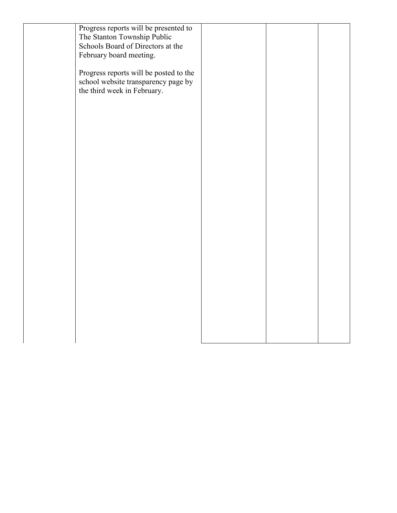| Progress reports will be presented to  |  |  |
|----------------------------------------|--|--|
| The Stanton Township Public            |  |  |
| Schools Board of Directors at the      |  |  |
| February board meeting.                |  |  |
|                                        |  |  |
| Progress reports will be posted to the |  |  |
| school website transparency page by    |  |  |
| the third week in February.            |  |  |
|                                        |  |  |
|                                        |  |  |
|                                        |  |  |
|                                        |  |  |
|                                        |  |  |
|                                        |  |  |
|                                        |  |  |
|                                        |  |  |
|                                        |  |  |
|                                        |  |  |
|                                        |  |  |
|                                        |  |  |
|                                        |  |  |
|                                        |  |  |
|                                        |  |  |
|                                        |  |  |
|                                        |  |  |
|                                        |  |  |
|                                        |  |  |
|                                        |  |  |
|                                        |  |  |
|                                        |  |  |
|                                        |  |  |
|                                        |  |  |
|                                        |  |  |
|                                        |  |  |
|                                        |  |  |
|                                        |  |  |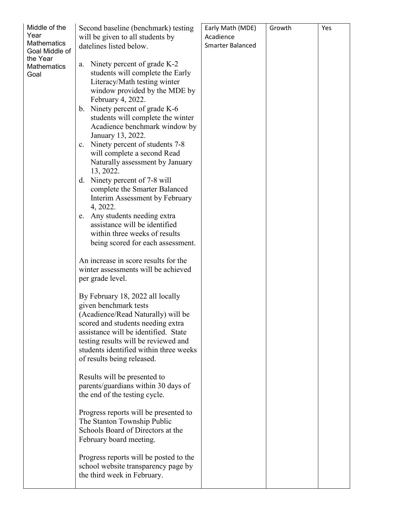| Middle of the<br>Year<br><b>Mathematics</b><br>Goal Middle of<br>the Year<br><b>Mathematics</b><br>Goal | Second baseline (benchmark) testing<br>will be given to all students by<br>datelines listed below.<br>Ninety percent of grade K-2<br>a.<br>students will complete the Early<br>Literacy/Math testing winter<br>window provided by the MDE by<br>February 4, 2022.<br>b. Ninety percent of grade K-6<br>students will complete the winter<br>Acadience benchmark window by<br>January 13, 2022.<br>c. Ninety percent of students 7-8<br>will complete a second Read<br>Naturally assessment by January<br>13, 2022.<br>Ninety percent of 7-8 will<br>d.<br>complete the Smarter Balanced<br>Interim Assessment by February<br>4, 2022.<br>e. Any students needing extra<br>assistance will be identified<br>within three weeks of results<br>being scored for each assessment.<br>An increase in score results for the<br>winter assessments will be achieved<br>per grade level.<br>By February 18, 2022 all locally<br>given benchmark tests<br>(Acadience/Read Naturally) will be<br>scored and students needing extra<br>assistance will be identified. State<br>testing results will be reviewed and<br>students identified within three weeks<br>of results being released.<br>Results will be presented to<br>parents/guardians within 30 days of<br>the end of the testing cycle.<br>Progress reports will be presented to<br>The Stanton Township Public<br>Schools Board of Directors at the<br>February board meeting.<br>Progress reports will be posted to the<br>school website transparency page by | Early Math (MDE)<br>Acadience<br><b>Smarter Balanced</b> | Growth | Yes |
|---------------------------------------------------------------------------------------------------------|-------------------------------------------------------------------------------------------------------------------------------------------------------------------------------------------------------------------------------------------------------------------------------------------------------------------------------------------------------------------------------------------------------------------------------------------------------------------------------------------------------------------------------------------------------------------------------------------------------------------------------------------------------------------------------------------------------------------------------------------------------------------------------------------------------------------------------------------------------------------------------------------------------------------------------------------------------------------------------------------------------------------------------------------------------------------------------------------------------------------------------------------------------------------------------------------------------------------------------------------------------------------------------------------------------------------------------------------------------------------------------------------------------------------------------------------------------------------------------------------------------------------|----------------------------------------------------------|--------|-----|
|                                                                                                         | the third week in February.                                                                                                                                                                                                                                                                                                                                                                                                                                                                                                                                                                                                                                                                                                                                                                                                                                                                                                                                                                                                                                                                                                                                                                                                                                                                                                                                                                                                                                                                                       |                                                          |        |     |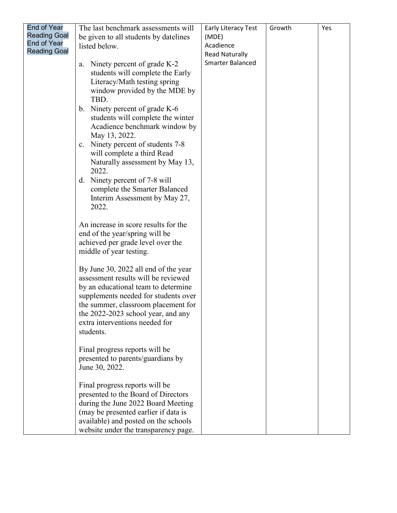| <b>End of Year</b>  | The last benchmark assessments will            | Early Literacy Test     | Growth | Yes |
|---------------------|------------------------------------------------|-------------------------|--------|-----|
| <b>Reading Goal</b> | be given to all students by datelines          | (MDE)                   |        |     |
| End of Year         | listed below.                                  | Acadience               |        |     |
| <b>Reading Goal</b> |                                                | <b>Read Naturally</b>   |        |     |
|                     | Ninety percent of grade K-2<br>a.              | <b>Smarter Balanced</b> |        |     |
|                     | students will complete the Early               |                         |        |     |
|                     | Literacy/Math testing spring                   |                         |        |     |
|                     | window provided by the MDE by                  |                         |        |     |
|                     | TBD.                                           |                         |        |     |
|                     | b. Ninety percent of grade K-6                 |                         |        |     |
|                     | students will complete the winter              |                         |        |     |
|                     | Acadience benchmark window by<br>May 13, 2022. |                         |        |     |
|                     | c. Ninety percent of students 7-8              |                         |        |     |
|                     | will complete a third Read                     |                         |        |     |
|                     | Naturally assessment by May 13,                |                         |        |     |
|                     | 2022.                                          |                         |        |     |
|                     | d. Ninety percent of 7-8 will                  |                         |        |     |
|                     | complete the Smarter Balanced                  |                         |        |     |
|                     | Interim Assessment by May 27,                  |                         |        |     |
|                     | 2022.                                          |                         |        |     |
|                     |                                                |                         |        |     |
|                     | An increase in score results for the           |                         |        |     |
|                     | end of the year/spring will be                 |                         |        |     |
|                     | achieved per grade level over the              |                         |        |     |
|                     | middle of year testing.                        |                         |        |     |
|                     | By June 30, 2022 all end of the year           |                         |        |     |
|                     | assessment results will be reviewed            |                         |        |     |
|                     | by an educational team to determine            |                         |        |     |
|                     | supplements needed for students over           |                         |        |     |
|                     | the summer, classroom placement for            |                         |        |     |
|                     | the 2022-2023 school year, and any             |                         |        |     |
|                     | extra interventions needed for                 |                         |        |     |
|                     | students.                                      |                         |        |     |
|                     | Final progress reports will be                 |                         |        |     |
|                     | presented to parents/guardians by              |                         |        |     |
|                     | June 30, 2022.                                 |                         |        |     |
|                     |                                                |                         |        |     |
|                     | Final progress reports will be                 |                         |        |     |
|                     | presented to the Board of Directors            |                         |        |     |
|                     | during the June 2022 Board Meeting             |                         |        |     |
|                     | (may be presented earlier if data is           |                         |        |     |
|                     | available) and posted on the schools           |                         |        |     |
|                     | website under the transparency page.           |                         |        |     |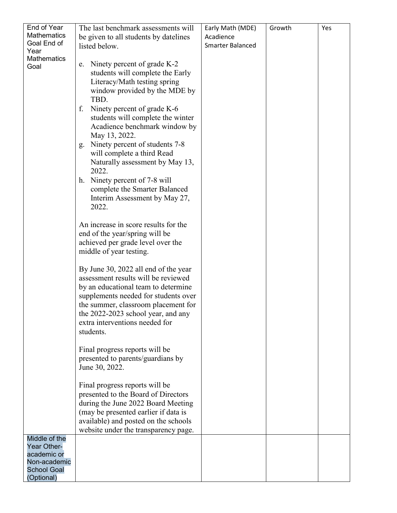| End of Year        | The last benchmark assessments will                                          | Early Math (MDE)        | Growth | Yes |
|--------------------|------------------------------------------------------------------------------|-------------------------|--------|-----|
| <b>Mathematics</b> | be given to all students by datelines                                        | Acadience               |        |     |
| Goal End of        | listed below.                                                                | <b>Smarter Balanced</b> |        |     |
| Year               |                                                                              |                         |        |     |
| <b>Mathematics</b> |                                                                              |                         |        |     |
| Goal               | e. Ninety percent of grade K-2                                               |                         |        |     |
|                    | students will complete the Early                                             |                         |        |     |
|                    | Literacy/Math testing spring                                                 |                         |        |     |
|                    | window provided by the MDE by                                                |                         |        |     |
|                    | TBD.                                                                         |                         |        |     |
|                    | Ninety percent of grade K-6<br>f.                                            |                         |        |     |
|                    | students will complete the winter                                            |                         |        |     |
|                    | Acadience benchmark window by                                                |                         |        |     |
|                    | May 13, 2022.                                                                |                         |        |     |
|                    | Ninety percent of students 7-8<br>g.                                         |                         |        |     |
|                    | will complete a third Read                                                   |                         |        |     |
|                    | Naturally assessment by May 13,                                              |                         |        |     |
|                    | 2022.                                                                        |                         |        |     |
|                    | h. Ninety percent of 7-8 will                                                |                         |        |     |
|                    | complete the Smarter Balanced                                                |                         |        |     |
|                    | Interim Assessment by May 27,                                                |                         |        |     |
|                    | 2022.                                                                        |                         |        |     |
|                    |                                                                              |                         |        |     |
|                    | An increase in score results for the                                         |                         |        |     |
|                    | end of the year/spring will be                                               |                         |        |     |
|                    | achieved per grade level over the                                            |                         |        |     |
|                    | middle of year testing.                                                      |                         |        |     |
|                    |                                                                              |                         |        |     |
|                    | By June 30, 2022 all end of the year                                         |                         |        |     |
|                    | assessment results will be reviewed                                          |                         |        |     |
|                    | by an educational team to determine                                          |                         |        |     |
|                    | supplements needed for students over                                         |                         |        |     |
|                    | the summer, classroom placement for                                          |                         |        |     |
|                    | the 2022-2023 school year, and any                                           |                         |        |     |
|                    | extra interventions needed for                                               |                         |        |     |
|                    | students.                                                                    |                         |        |     |
|                    |                                                                              |                         |        |     |
|                    | Final progress reports will be                                               |                         |        |     |
|                    |                                                                              |                         |        |     |
|                    | presented to parents/guardians by                                            |                         |        |     |
|                    | June 30, 2022.                                                               |                         |        |     |
|                    | Final progress reports will be                                               |                         |        |     |
|                    | presented to the Board of Directors                                          |                         |        |     |
|                    | during the June 2022 Board Meeting                                           |                         |        |     |
|                    |                                                                              |                         |        |     |
|                    | (may be presented earlier if data is                                         |                         |        |     |
|                    | available) and posted on the schools<br>website under the transparency page. |                         |        |     |
| Middle of the      |                                                                              |                         |        |     |
| Year Other-        |                                                                              |                         |        |     |
| academic or        |                                                                              |                         |        |     |
| Non-academic       |                                                                              |                         |        |     |
| <b>School Goal</b> |                                                                              |                         |        |     |
| (Optional)         |                                                                              |                         |        |     |